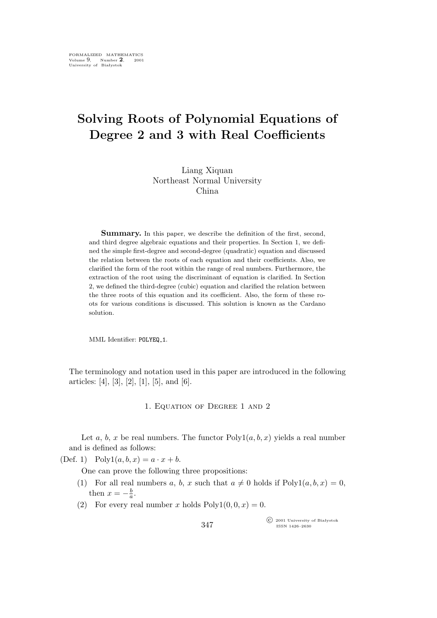## **Solving Roots of Polynomial Equations of Degree 2 and 3 with Real Coefficients**

Liang Xiquan Northeast Normal University China

**Summary.** In this paper, we describe the definition of the first, second, and third degree algebraic equations and their properties. In Section 1, we defined the simple first-degree and second-degree (quadratic) equation and discussed the relation between the roots of each equation and their coefficients. Also, we clarified the form of the root within the range of real numbers. Furthermore, the extraction of the root using the discriminant of equation is clarified. In Section 2, we defined the third-degree (cubic) equation and clarified the relation between the three roots of this equation and its coefficient. Also, the form of these roots for various conditions is discussed. This solution is known as the Cardano solution.

MML Identifier: POLYEQ\_1.

The terminology and notation used in this paper are introduced in the following articles: [4], [3], [2], [1], [5], and [6].

1. Equation of Degree 1 and 2

Let a, b, x be real numbers. The functor  $Poly1(a, b, x)$  yields a real number and is defined as follows:

(Def. 1)  $Poly1(a, b, x) = a \cdot x + b$ .

One can prove the following three propositions:

- (1) For all real numbers a, b, x such that  $a \neq 0$  holds if  $Poly1(a, b, x) = 0$ , then  $x = -\frac{b}{a}$  $\frac{b}{a}$ .
- (2) For every real number x holds  $Poly1(0, 0, x) = 0$ .

°c 2001 University of Białystok ISSN 1426–2630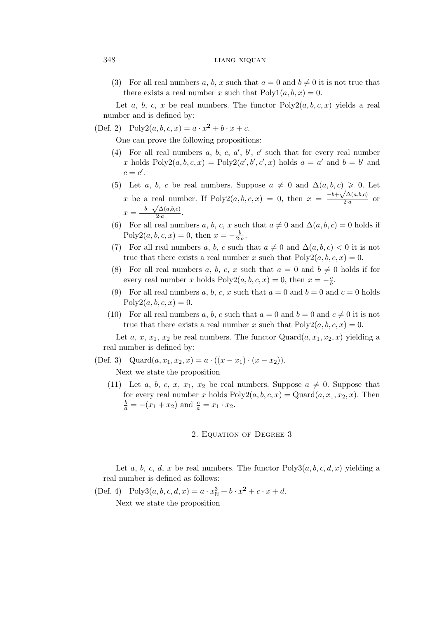## 348 LIANG XIQUAN

(3) For all real numbers a, b, x such that  $a = 0$  and  $b \neq 0$  it is not true that there exists a real number x such that  $Poly1(a, b, x) = 0$ .

Let a, b, c, x be real numbers. The functor  $Poly2(a, b, c, x)$  yields a real number and is defined by:

(Def. 2) Poly2(a, b, c, x) =  $a \cdot x^2 + b \cdot x + c$ .

One can prove the following propositions:

- (4) For all real numbers  $a, b, c, a', b', c'$  such that for every real number x holds  $Poly2(a, b, c, x) = Poly2(a', b', c', x)$  holds  $a = a'$  and  $b = b'$  and  $c = c'$ .
- (5) Let a, b, c be real numbers. Suppose  $a \neq 0$  and  $\Delta(a, b, c) \geq 0$ . Let x be a real number. If Poly2(a, b, c, x) = 0, then  $x = \frac{-b + \sqrt{\Delta(a,b,c)}}{2a}$  $\frac{a^{(a,0,c)}}{2a}$  or  $x = \frac{-b - \sqrt{\Delta(a,b,c)}}{2a}$ 2*·*a .
- (6) For all real numbers a, b, c, x such that  $a \neq 0$  and  $\Delta(a, b, c) = 0$  holds if Poly2(*a*, *b*, *c*, *x*) = 0, then  $x = -\frac{b}{2a}$ .
- (7) For all real numbers a, b, c such that  $a \neq 0$  and  $\Delta(a, b, c) < 0$  it is not true that there exists a real number x such that  $Poly2(a, b, c, x) = 0$ .
- (8) For all real numbers a, b, c, x such that  $a = 0$  and  $b \neq 0$  holds if for every real number x holds Poly2 $(a, b, c, x) = 0$ , then  $x = -\frac{c}{b}$  $\frac{c}{b}$ .
- (9) For all real numbers a, b, c, x such that  $a = 0$  and  $b = 0$  and  $c = 0$  holds  $Poly2(a, b, c, x) = 0.$
- (10) For all real numbers a, b, c such that  $a = 0$  and  $b = 0$  and  $c \neq 0$  it is not true that there exists a real number x such that  $Poly2(a, b, c, x) = 0$ .

Let a, x,  $x_1, x_2$  be real numbers. The functor  $Quard(a, x_1, x_2, x)$  yielding a real number is defined by:

(Def. 3) Quard $(a, x_1, x_2, x) = a \cdot ((x - x_1) \cdot (x - x_2)).$ 

Next we state the proposition

(11) Let a, b, c, x,  $x_1$ ,  $x_2$  be real numbers. Suppose  $a \neq 0$ . Suppose that for every real number x holds  $Poly2(a, b, c, x) = Quard(a, x_1, x_2, x)$ . Then  $\frac{b}{a} = -(x_1 + x_2)$  and  $\frac{c}{a} = x_1 \cdot x_2$ .

## 2. Equation of Degree 3

Let a, b, c, d, x be real numbers. The functor  $Poly3(a, b, c, d, x)$  yielding a real number is defined as follows:

(Def. 4) Poly3 $(a, b, c, d, x) = a \cdot x_{\mathbb{N}}^3 + b \cdot x^2 + c \cdot x + d$ .

Next we state the proposition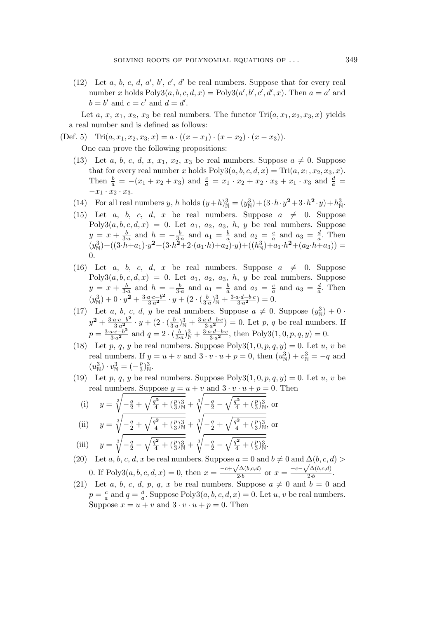(12) Let  $a, b, c, d, a', b', c', d'$  be real numbers. Suppose that for every real number x holds  $Poly3(a, b, c, d, x) = Poly3(a', b', c', d', x)$ . Then  $a = a'$  and  $b = b'$  and  $c = c'$  and  $d = d'$ .

Let a, x,  $x_1, x_2, x_3$  be real numbers. The functor  $\text{Tri}(a, x_1, x_2, x_3, x)$  yields a real number and is defined as follows:

(Def. 5) Tri $(a, x_1, x_2, x_3, x) = a \cdot ((x - x_1) \cdot (x - x_2) \cdot (x - x_3)).$ 

One can prove the following propositions:

- (13) Let a, b, c, d, x,  $x_1$ ,  $x_2$ ,  $x_3$  be real numbers. Suppose  $a \neq 0$ . Suppose that for every real number x holds  $Poly3(a, b, c, d, x) = Tri(a, x_1, x_2, x_3, x).$ Then  $\frac{b}{a} = -(x_1 + x_2 + x_3)$  and  $\frac{c}{a} = x_1 \cdot x_2 + x_2 \cdot x_3 + x_1 \cdot x_3$  and  $\frac{d}{a} =$ *−*x<sup>1</sup> *·* x<sup>2</sup> *·* x3.
- (14) For all real numbers *y*, *h* holds  $(y+h)_{\mathbb{N}}^3 = (y_{\mathbb{N}}^3) + (3 \cdot h \cdot y^2 + 3 \cdot h^2 \cdot y) + h_{\mathbb{N}}^3$ .
- (15) Let a, b, c, d, x be real numbers. Suppose  $a \neq 0$ . Suppose  $Poly3(a, b, c, d, x) = 0$ . Let  $a_1, a_2, a_3, h, y$  be real numbers. Suppose  $y = x + \frac{b}{3\cdot a}$  and  $h = -\frac{b}{3\cdot a}$  and  $a_1 = \frac{b}{a}$  $\frac{b}{a}$  and  $a_2 = \frac{c}{a}$  $rac{c}{a}$  and  $a_3 = \frac{d}{a}$  $\frac{a}{a}$ . Then  $(y^3_{\mathbb{N}}) + ((3 \cdot h + a_1) \cdot y^2 + (3 \cdot h^2 + 2 \cdot (a_1 \cdot h) + a_2) \cdot y) + ((h^3_{\mathbb{N}}) + a_1 \cdot h^2 + (a_2 \cdot h + a_3)) =$ 0.
- (16) Let a, b, c, d, x be real numbers. Suppose  $a \neq 0$ . Suppose  $Poly3(a, b, c, d, x) = 0$ . Let  $a_1, a_2, a_3, h, y$  be real numbers. Suppose  $y = x + \frac{b}{3\cdot a}$  and  $h = -\frac{b}{3\cdot a}$  and  $a_1 = \frac{b}{a}$  $\frac{b}{a}$  and  $a_2 = \frac{c}{a}$  $\frac{c}{a}$  and  $a_3 = \frac{d}{a}$  $\frac{d}{a}$ . Then  $(y^3_{\mathbb{N}}) + 0 \cdot y^2 + \frac{3 \cdot a \cdot c - b^2}{3 \cdot a^2}$  $\frac{a \cdot c - b^2}{3 \cdot a^2} \cdot y + (2 \cdot (\frac{b}{3 \cdot a})_{\mathbb{N}}^3 + \frac{3 \cdot a \cdot d - b \cdot c}{3 \cdot a^2}$  $\frac{i \cdot d - b \cdot c}{3 \cdot a^2}$ ) = 0.
- (17) Let *a*, *b*, *c*, *d*, *y* be real numbers. Suppose  $a \neq 0$ . Suppose  $(y^3<sub>N</sub>) + 0$ .  $y^2 + \frac{3 \cdot a \cdot c - b^2}{3 \cdot a^2}$  $\frac{a \cdot c - b^2}{3 \cdot a^2} \cdot y + (2 \cdot (\frac{b}{3 \cdot a})_{\mathbb{N}}^3 + \frac{3 \cdot a \cdot d - b \cdot c}{3 \cdot a^2}$  $\left(\frac{a \cdot d - b \cdot c}{3 \cdot a^2}\right) = 0$ . Let p, q be real numbers. If  $p = \frac{3 \cdot a \cdot c - b^2}{3 \cdot a^2}$  $\frac{a \cdot c - b^2}{3 \cdot a^2}$  and  $q = 2 \cdot (\frac{b}{3 \cdot a})_{\mathbb{N}}^3 + \frac{3 \cdot a \cdot d - b \cdot c}{3 \cdot a^2}$  $\frac{a \cdot d - b \cdot c}{3 \cdot a^2}$ , then Poly3 $(1, 0, p, q, y) = 0$ .
- (18) Let p, q, y be real numbers. Suppose  $Poly3(1,0,p,q,y) = 0$ . Let u, v be real numbers. If  $y = u + v$  and  $3 \cdot v \cdot u + p = 0$ , then  $(u_N^3) + v_N^3 = -q$  and  $(u_N^3) \cdot v_N^3 = (-\frac{p}{3})$  $\frac{p}{3}$ <sub>N</sub>.
- (19) Let p, q, y be real numbers. Suppose  $Poly3(1,0,p,q,y) = 0$ . Let u, v be real numbers. Suppose  $y = u + v$  and  $3 \cdot v \cdot u + p = 0$ . Then

(i) 
$$
y = \sqrt[3]{-\frac{q}{2} + \sqrt{\frac{q^2}{4} + (\frac{p}{3})^3_N}} + \sqrt[3]{-\frac{q}{2} - \sqrt{\frac{q^2}{4} + (\frac{p}{3})^3_N}}
$$
, or  
\n(ii)  $y = \sqrt[3]{-\frac{q}{2} + \sqrt{\frac{q^2}{4} + (\frac{p}{3})^3_N}} + \sqrt[3]{-\frac{q}{2} + \sqrt{\frac{q^2}{4} + (\frac{p}{3})^3_N}}$ , or

(ii) 
$$
y = \sqrt[3]{-\frac{q}{2} + \sqrt{\frac{q^2}{4} + (\frac{p}{3})^3_N}} + \sqrt[3]{-\frac{q}{2} + \sqrt{\frac{q^2}{4} + (\frac{p}{3})^3_N}},
$$
  
(iii) 
$$
y = \sqrt[3]{-\frac{q}{2} - \sqrt{\frac{q^2}{4} + (\frac{p}{3})^3_N}} + \sqrt[3]{-\frac{q}{2} - \sqrt{\frac{q^2}{4} + (\frac{p}{3})^3_N}}.
$$

- (20) Let a, b, c, d, x be real numbers. Suppose  $a = 0$  and  $b \neq 0$  and  $\Delta(b, c, d)$ 0. If Poly3(*a*, *b*, *c*, *d*, *x*) = 0, then  $x = \frac{-c + \sqrt{\Delta(b, c, d)}}{2b}$  $\frac{\sqrt{\Delta(b,c,d)}}{2 \cdot b}$  or  $x = \frac{-c - \sqrt{\Delta(b,c,d)}}{2 \cdot b}$  $\frac{a_1(a,c,a)}{2 \cdot b}$ .
- (21) Let a, b, c, d, p, q, x be real numbers. Suppose  $a \neq 0$  and  $b = 0$  and  $p = \frac{c}{a}$  $\frac{c}{a}$  and  $q = \frac{d}{a}$  $\frac{a}{a}$ . Suppose Poly3 $(a, b, c, d, x) = 0$ . Let  $u, v$  be real numbers. Suppose  $x = u + v$  and  $3 \cdot v \cdot u + p = 0$ . Then